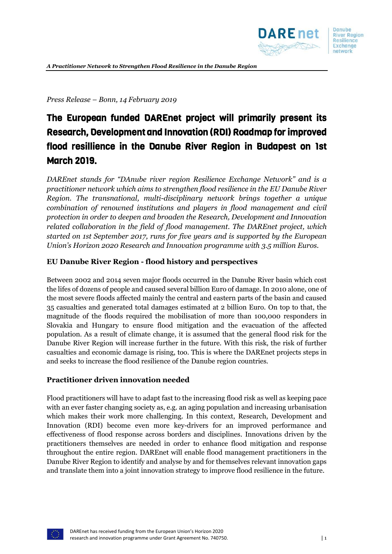

*Press Release – Bonn, 14 February 2019*

# The European funded DAREnet project will primarily present its Research, Development and Innovation (RDI) Roadmap for improved flood resillience in the Danube River Region in Budapest on 1st March 2019.

*DAREnet stands for "DAnube river region Resilience Exchange Network" and is a practitioner network which aims to strengthen flood resilience in the EU Danube River Region. The transnational, multi-disciplinary network brings together a unique combination of renowned institutions and players in flood management and civil protection in order to deepen and broaden the Research, Development and Innovation related collaboration in the field of flood management. The DAREnet project, which started on 1st September 2017, runs for five years and is supported by the European Union's Horizon 2020 Research and Innovation programme with 3.5 million Euros.*

## **EU Danube River Region - flood history and perspectives**

Between 2002 and 2014 seven major floods occurred in the Danube River basin which cost the lifes of dozens of people and caused several billion Euro of damage. In 2010 alone, one of the most severe floods affected mainly the central and eastern parts of the basin and caused 35 casualties and generated total damages estimated at 2 billion Euro. On top to that, the magnitude of the floods required the mobilisation of more than 100,000 responders in Slovakia and Hungary to ensure flood mitigation and the evacuation of the affected population. As a result of climate change, it is assumed that the general flood risk for the Danube River Region will increase further in the future. With this risk, the risk of further casualties and economic damage is rising, too. This is where the DAREnet projects steps in and seeks to increase the flood resilience of the Danube region countries.

#### **Practitioner driven innovation needed**

Flood practitioners will have to adapt fast to the increasing flood risk as well as keeping pace with an ever faster changing society as, e.g. an aging population and increasing urbanisation which makes their work more challenging. In this context, Research, Development and Innovation (RDI) become even more key-drivers for an improved performance and effectiveness of flood response across borders and disciplines. Innovations driven by the practitioners themselves are needed in order to enhance flood mitigation and response throughout the entire region. DAREnet will enable flood management practitioners in the Danube River Region to identify and analyse by and for themselves relevant innovation gaps and translate them into a joint innovation strategy to improve flood resilience in the future.

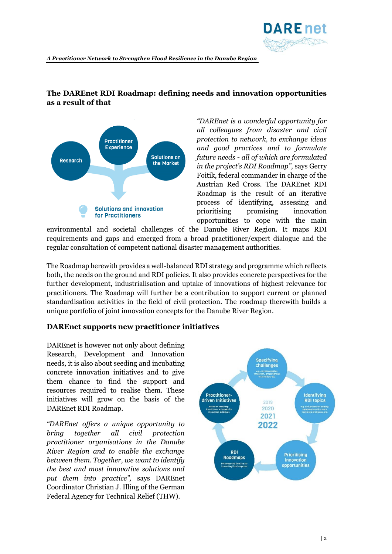

*A Practitioner Network to Strengthen Flood Resilience in the Danube Region*

## **The DAREnet RDI Roadmap: defining needs and innovation opportunities as a result of that**



*"DAREnet is a wonderful opportunity for all colleagues from disaster and civil protection to network, to exchange ideas and good practices and to formulate future needs - all of which are formulated in the project's RDI Roadmap",* says Gerry Foitik, federal commander in charge of the Austrian Red Cross. The DAREnet RDI Roadmap is the result of an iterative process of identifying, assessing and prioritising promising innovation opportunities to cope with the main

environmental and societal challenges of the Danube River Region. It maps RDI requirements and gaps and emerged from a broad practitioner/expert dialogue and the regular consultation of competent national disaster management authorities.

The Roadmap herewith provides a well-balanced RDI strategy and programme which reflects both, the needs on the ground and RDI policies. It also provides concrete perspectives for the further development, industrialisation and uptake of innovations of highest relevance for practitioners. The Roadmap will further be a contribution to support current or planned standardisation activities in the field of civil protection. The roadmap therewith builds a unique portfolio of joint innovation concepts for the Danube River Region.

## **DAREnet supports new practitioner initiatives**

DAREnet is however not only about defining Research, Development and Innovation needs, it is also about seeding and incubating concrete innovation initiatives and to give them chance to find the support and resources required to realise them. These initiatives will grow on the basis of the DAREnet RDI Roadmap.

*"DAREnet offers a unique opportunity to bring together all civil protection practitioner organisations in the Danube River Region and to enable the exchange between them. Together, we want to identify the best and most innovative solutions and put them into practice",* says DAREnet Coordinator Christian J. Illing of the German Federal Agency for Technical Relief (THW).

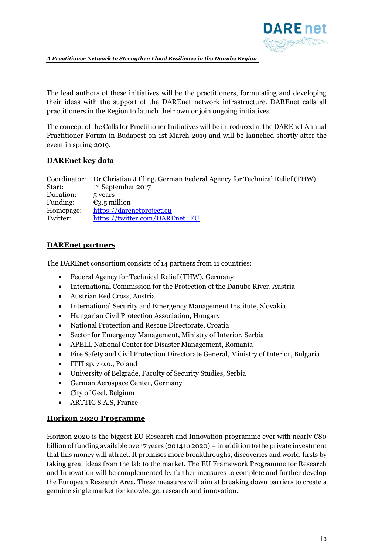

*A Practitioner Network to Strengthen Flood Resilience in the Danube Region*

The lead authors of these initiatives will be the practitioners, formulating and developing their ideas with the support of the DAREnet network infrastructure. DAREnet calls all practitioners in the Region to launch their own or join ongoing initiatives.

The concept of the Calls for Practitioner Initiatives will be introduced at the DAREnet Annual Practitioner Forum in Budapest on 1st March 2019 and will be launched shortly after the event in spring 2019.

## **DAREnet key data**

Coordinator: Dr Christian J Illing, German Federal Agency for Technical Relief (THW) Start: 1st September 2017 Duration: 5 years Funding:  $\epsilon_{3.5}$  million Homepage: [https://darenetproject.eu](https://darenetproject.eu/) Twitter: [https://twitter.com/DAREnet\\_EU](https://twitter.com/DAREnet_EU)

## **DAREnet partners**

The DAREnet consortium consists of 14 partners from 11 countries:

- Federal Agency for Technical Relief (THW), Germany
- International Commission for the Protection of the Danube River, Austria
- Austrian Red Cross, Austria
- International Security and Emergency Management Institute, Slovakia
- Hungarian Civil Protection Association, Hungary
- National Protection and Rescue Directorate, Croatia
- Sector for Emergency Management, Ministry of Interior, Serbia
- APELL National Center for Disaster Management, Romania
- Fire Safety and Civil Protection Directorate General, Ministry of Interior, Bulgaria
- ITTI sp. z o.o., Poland
- University of Belgrade, Faculty of Security Studies, Serbia
- German Aerospace Center, Germany
- City of Geel, Belgium
- ARTTIC S.A.S, France

## **Horizon 2020 Programme**

Horizon 2020 is the biggest EU Research and Innovation programme ever with nearly €80 billion of funding available over 7 years (2014 to 2020) – in addition to the private investment that this money will attract. It promises more breakthroughs, discoveries and world-firsts by taking great ideas from the lab to the market. The EU Framework Programme for Research and Innovation will be complemented by further measures to complete and further develop the European Research Area. These measures will aim at breaking down barriers to create a genuine single market for knowledge, research and innovation.